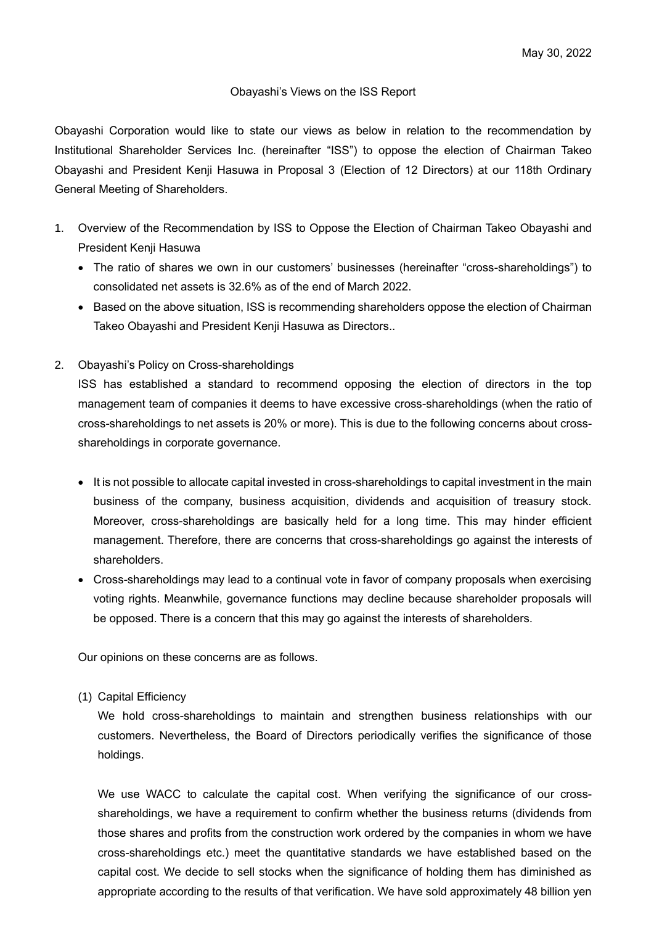#### Obayashi's Views on the ISS Report

Obayashi Corporation would like to state our views as below in relation to the recommendation by Institutional Shareholder Services Inc. (hereinafter "ISS") to oppose the election of Chairman Takeo Obayashi and President Kenji Hasuwa in Proposal 3 (Election of 12 Directors) at our 118th Ordinary General Meeting of Shareholders.

- 1. Overview of the Recommendation by ISS to Oppose the Election of Chairman Takeo Obayashi and President Kenji Hasuwa
	- The ratio of shares we own in our customers' businesses (hereinafter "cross-shareholdings") to consolidated net assets is 32.6% as of the end of March 2022.
	- Based on the above situation, ISS is recommending shareholders oppose the election of Chairman Takeo Obayashi and President Kenji Hasuwa as Directors..
- 2. Obayashi's Policy on Cross-shareholdings

ISS has established a standard to recommend opposing the election of directors in the top management team of companies it deems to have excessive cross-shareholdings (when the ratio of cross-shareholdings to net assets is 20% or more). This is due to the following concerns about crossshareholdings in corporate governance.

- It is not possible to allocate capital invested in cross-shareholdings to capital investment in the main business of the company, business acquisition, dividends and acquisition of treasury stock. Moreover, cross-shareholdings are basically held for a long time. This may hinder efficient management. Therefore, there are concerns that cross-shareholdings go against the interests of shareholders.
- Cross-shareholdings may lead to a continual vote in favor of company proposals when exercising voting rights. Meanwhile, governance functions may decline because shareholder proposals will be opposed. There is a concern that this may go against the interests of shareholders.

Our opinions on these concerns are as follows.

(1) Capital Efficiency

We hold cross-shareholdings to maintain and strengthen business relationships with our customers. Nevertheless, the Board of Directors periodically verifies the significance of those holdings.

We use WACC to calculate the capital cost. When verifying the significance of our crossshareholdings, we have a requirement to confirm whether the business returns (dividends from those shares and profits from the construction work ordered by the companies in whom we have cross-shareholdings etc.) meet the quantitative standards we have established based on the capital cost. We decide to sell stocks when the significance of holding them has diminished as appropriate according to the results of that verification. We have sold approximately 48 billion yen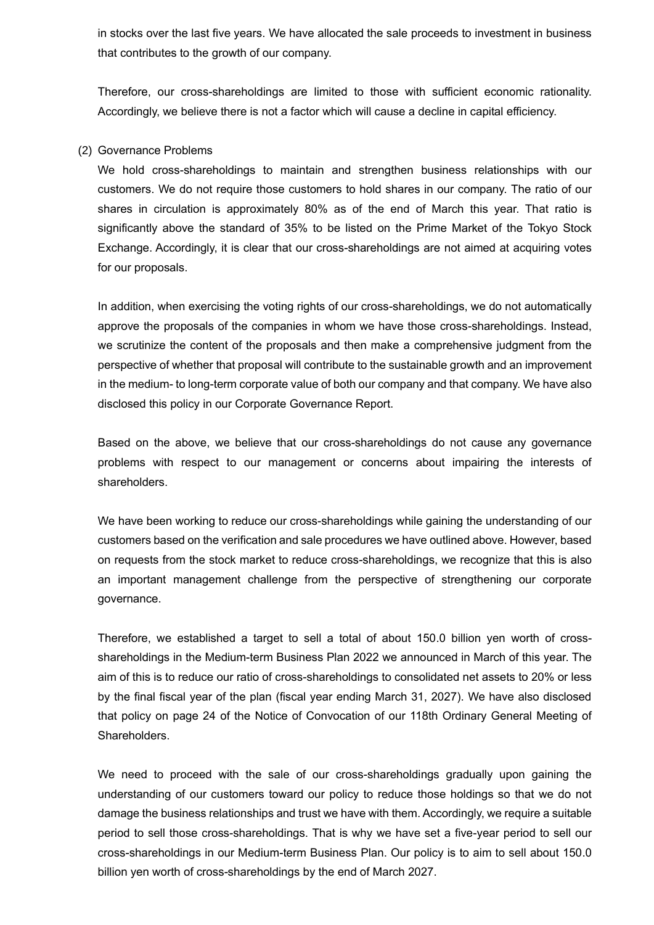in stocks over the last five years. We have allocated the sale proceeds to investment in business that contributes to the growth of our company.

Therefore, our cross-shareholdings are limited to those with sufficient economic rationality. Accordingly, we believe there is not a factor which will cause a decline in capital efficiency.

#### (2) Governance Problems

We hold cross-shareholdings to maintain and strengthen business relationships with our customers. We do not require those customers to hold shares in our company. The ratio of our shares in circulation is approximately 80% as of the end of March this year. That ratio is significantly above the standard of 35% to be listed on the Prime Market of the Tokyo Stock Exchange. Accordingly, it is clear that our cross-shareholdings are not aimed at acquiring votes for our proposals.

In addition, when exercising the voting rights of our cross-shareholdings, we do not automatically approve the proposals of the companies in whom we have those cross-shareholdings. Instead, we scrutinize the content of the proposals and then make a comprehensive judgment from the perspective of whether that proposal will contribute to the sustainable growth and an improvement in the medium- to long-term corporate value of both our company and that company. We have also disclosed this policy in our Corporate Governance Report.

Based on the above, we believe that our cross-shareholdings do not cause any governance problems with respect to our management or concerns about impairing the interests of shareholders.

We have been working to reduce our cross-shareholdings while gaining the understanding of our customers based on the verification and sale procedures we have outlined above. However, based on requests from the stock market to reduce cross-shareholdings, we recognize that this is also an important management challenge from the perspective of strengthening our corporate governance.

Therefore, we established a target to sell a total of about 150.0 billion yen worth of crossshareholdings in the Medium-term Business Plan 2022 we announced in March of this year. The aim of this is to reduce our ratio of cross-shareholdings to consolidated net assets to 20% or less by the final fiscal year of the plan (fiscal year ending March 31, 2027). We have also disclosed that policy on page 24 of the Notice of Convocation of our 118th Ordinary General Meeting of Shareholders.

We need to proceed with the sale of our cross-shareholdings gradually upon gaining the understanding of our customers toward our policy to reduce those holdings so that we do not damage the business relationships and trust we have with them. Accordingly, we require a suitable period to sell those cross-shareholdings. That is why we have set a five-year period to sell our cross-shareholdings in our Medium-term Business Plan. Our policy is to aim to sell about 150.0 billion yen worth of cross-shareholdings by the end of March 2027.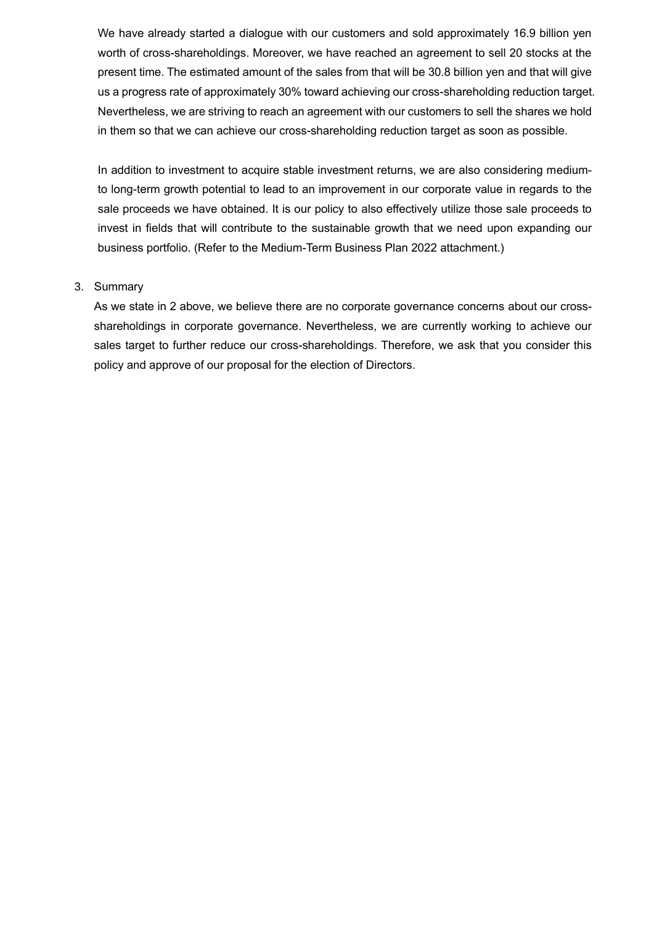We have already started a dialogue with our customers and sold approximately 16.9 billion yen worth of cross-shareholdings. Moreover, we have reached an agreement to sell 20 stocks at the present time. The estimated amount of the sales from that will be 30.8 billion yen and that will give us a progress rate of approximately 30% toward achieving our cross-shareholding reduction target. Nevertheless, we are striving to reach an agreement with our customers to sell the shares we hold in them so that we can achieve our cross-shareholding reduction target as soon as possible.

In addition to investment to acquire stable investment returns, we are also considering mediumto long-term growth potential to lead to an improvement in our corporate value in regards to the sale proceeds we have obtained. It is our policy to also effectively utilize those sale proceeds to invest in fields that will contribute to the sustainable growth that we need upon expanding our business portfolio. (Refer to the Medium-Term Business Plan 2022 attachment.)

#### 3. Summary

As we state in 2 above, we believe there are no corporate governance concerns about our crossshareholdings in corporate governance. Nevertheless, we are currently working to achieve our sales target to further reduce our cross-shareholdings. Therefore, we ask that you consider this policy and approve of our proposal for the election of Directors.